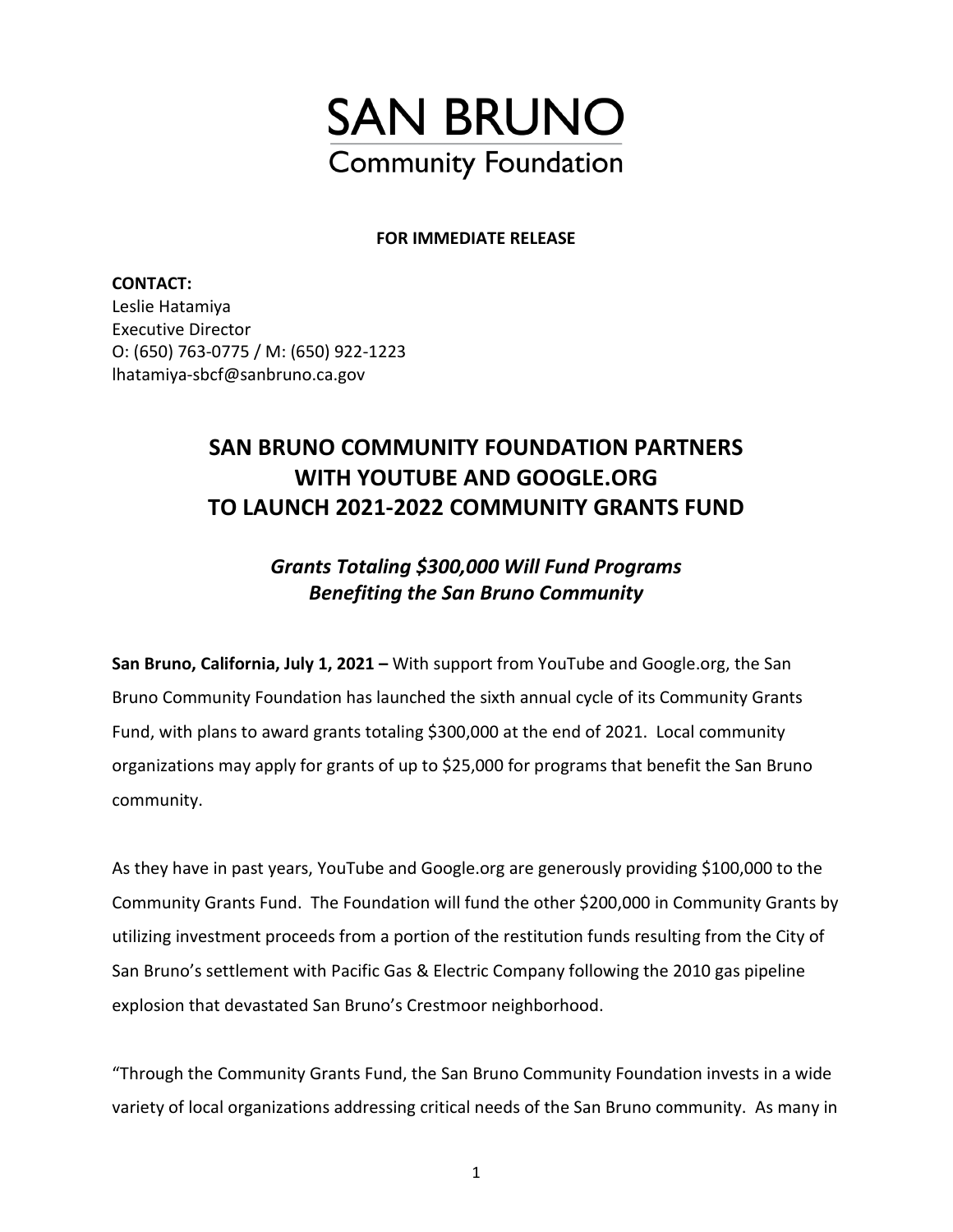

### **FOR IMMEDIATE RELEASE**

**CONTACT:**  Leslie Hatamiya Executive Director O: (650) 763-0775 / M: (650) 922-1223 lhatamiya-sbcf@sanbruno.ca.gov

# **SAN BRUNO COMMUNITY FOUNDATION PARTNERS WITH YOUTUBE AND GOOGLE.ORG TO LAUNCH 2021-2022 COMMUNITY GRANTS FUND**

## *Grants Totaling \$300,000 Will Fund Programs Benefiting the San Bruno Community*

**San Bruno, California, July 1, 2021 –** With support from YouTube and Google.org, the San Bruno Community Foundation has launched the sixth annual cycle of its Community Grants Fund, with plans to award grants totaling \$300,000 at the end of 2021. Local community organizations may apply for grants of up to \$25,000 for programs that benefit the San Bruno community.

As they have in past years, YouTube and Google.org are generously providing \$100,000 to the Community Grants Fund. The Foundation will fund the other \$200,000 in Community Grants by utilizing investment proceeds from a portion of the restitution funds resulting from the City of San Bruno's settlement with Pacific Gas & Electric Company following the 2010 gas pipeline explosion that devastated San Bruno's Crestmoor neighborhood.

"Through the Community Grants Fund, the San Bruno Community Foundation invests in a wide variety of local organizations addressing critical needs of the San Bruno community. As many in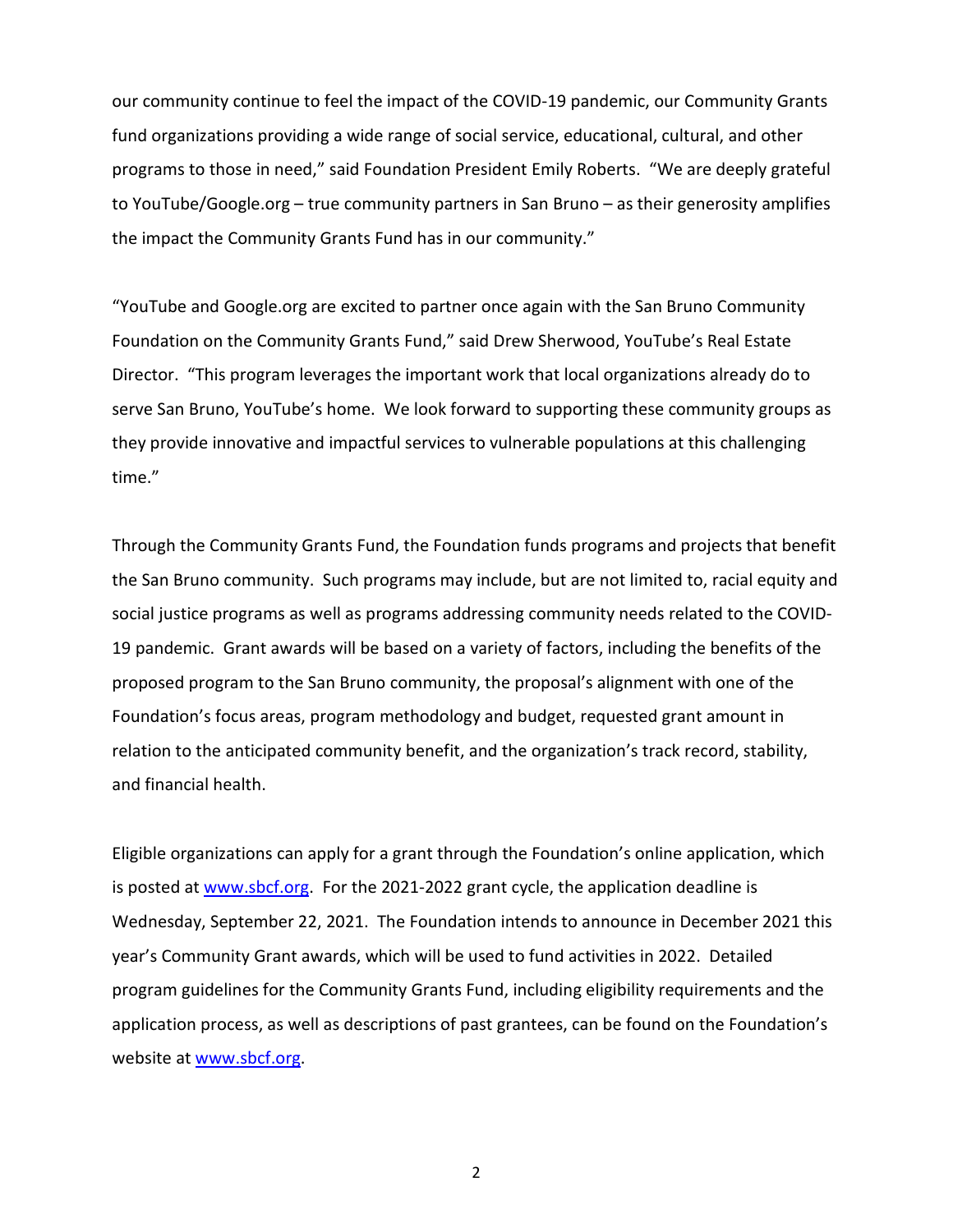our community continue to feel the impact of the COVID-19 pandemic, our Community Grants fund organizations providing a wide range of social service, educational, cultural, and other programs to those in need," said Foundation President Emily Roberts. "We are deeply grateful to YouTube/Google.org – true community partners in San Bruno – as their generosity amplifies the impact the Community Grants Fund has in our community."

"YouTube and Google.org are excited to partner once again with the San Bruno Community Foundation on the Community Grants Fund," said Drew Sherwood, YouTube's Real Estate Director. "This program leverages the important work that local organizations already do to serve San Bruno, YouTube's home. We look forward to supporting these community groups as they provide innovative and impactful services to vulnerable populations at this challenging time."

Through the Community Grants Fund, the Foundation funds programs and projects that benefit the San Bruno community. Such programs may include, but are not limited to, racial equity and social justice programs as well as programs addressing community needs related to the COVID-19 pandemic. Grant awards will be based on a variety of factors, including the benefits of the proposed program to the San Bruno community, the proposal's alignment with one of the Foundation's focus areas, program methodology and budget, requested grant amount in relation to the anticipated community benefit, and the organization's track record, stability, and financial health.

Eligible organizations can apply for a grant through the Foundation's online application, which is posted at [www.sbcf.org.](http://www.sbcf.org/) For the 2021-2022 grant cycle, the application deadline is Wednesday, September 22, 2021. The Foundation intends to announce in December 2021 this year's Community Grant awards, which will be used to fund activities in 2022. Detailed program guidelines for the Community Grants Fund, including eligibility requirements and the application process, as well as descriptions of past grantees, can be found on the Foundation's website at [www.sbcf.org.](http://www.sbcf.org/)

2